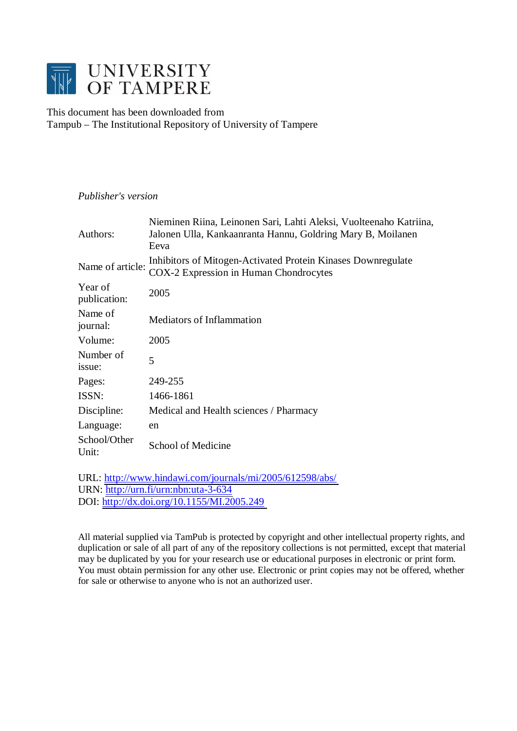

# This document has been downloaded from Tampub – The Institutional Repository of University of Tampere

# *Publisher's version*

| Authors:                | Nieminen Riina, Leinonen Sari, Lahti Aleksi, Vuolteenaho Katriina,<br>Jalonen Ulla, Kankaanranta Hannu, Goldring Mary B, Moilanen<br>Eeva |
|-------------------------|-------------------------------------------------------------------------------------------------------------------------------------------|
| Name of article:        | Inhibitors of Mitogen-Activated Protein Kinases Downregulate<br>COX-2 Expression in Human Chondrocytes                                    |
| Year of<br>publication: | 2005                                                                                                                                      |
| Name of<br>journal:     | <b>Mediators of Inflammation</b>                                                                                                          |
| Volume:                 | 2005                                                                                                                                      |
| Number of<br>issue:     | 5                                                                                                                                         |
| Pages:                  | 249-255                                                                                                                                   |
| ISSN:                   | 1466-1861                                                                                                                                 |
| Discipline:             | Medical and Health sciences / Pharmacy                                                                                                    |
| Language:               | en                                                                                                                                        |
| School/Other<br>Unit:   | <b>School of Medicine</b>                                                                                                                 |

URL: <http://www.hindawi.com/journals/mi/2005/612598/abs/> URN: <http://urn.fi/urn:nbn:uta-3-634> DOI: <http://dx.doi.org/10.1155/MI.2005.249>

All material supplied via TamPub is protected by copyright and other intellectual property rights, and duplication or sale of all part of any of the repository collections is not permitted, except that material may be duplicated by you for your research use or educational purposes in electronic or print form. You must obtain permission for any other use. Electronic or print copies may not be offered, whether for sale or otherwise to anyone who is not an authorized user.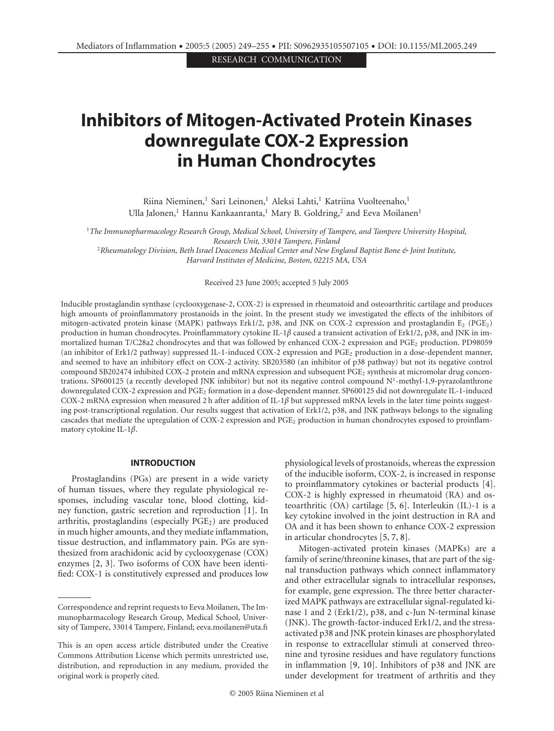RESEARCH COMMUNICATION

# **Inhibitors of Mitogen-Activated Protein Kinases downregulate COX-2 Expression in Human Chondrocytes**

Riina Nieminen,<sup>1</sup> Sari Leinonen,<sup>1</sup> Aleksi Lahti,<sup>1</sup> Katriina Vuolteenaho,<sup>1</sup> Ulla Jalonen,<sup>1</sup> Hannu Kankaanranta,<sup>1</sup> Mary B. Goldring,<sup>2</sup> and Eeva Moilanen<sup>1</sup>

<sup>1</sup>*The Immunopharmacology Research Group, Medical School, University of Tampere, and Tampere University Hospital, Research Unit, 33014 Tampere, Finland* <sup>2</sup>*Rheumatology Division, Beth Israel Deaconess Medical Center and New England Baptist Bone & Joint Institute,*

*Harvard Institutes of Medicine, Boston, 02215 MA, USA*

Received 23 June 2005; accepted 5 July 2005

Inducible prostaglandin synthase (cyclooxygenase-2, COX-2) is expressed in rheumatoid and osteoarthritic cartilage and produces high amounts of proinflammatory prostanoids in the joint. In the present study we investigated the effects of the inhibitors of mitogen-activated protein kinase (MAPK) pathways Erk1/2, p38, and JNK on COX-2 expression and prostaglandin E<sub>2</sub> (PGE<sub>2</sub>) production in human chondrocytes. Proinflammatory cytokine IL-1*β* caused a transient activation of Erk1/2, p38, and JNK in immortalized human T/C28a2 chondrocytes and that was followed by enhanced COX-2 expression and PGE<sub>2</sub> production. PD98059 (an inhibitor of Erk1/2 pathway) suppressed IL-1-induced COX-2 expression and PGE2 production in a dose-dependent manner, and seemed to have an inhibitory effect on COX-2 activity. SB203580 (an inhibitor of p38 pathway) but not its negative control compound SB202474 inhibited COX-2 protein and mRNA expression and subsequent PGE<sub>2</sub> synthesis at micromolar drug concentrations. SP600125 (a recently developed JNK inhibitor) but not its negative control compound  $N<sup>1</sup>$ -methyl-1,9-pyrazolanthrone downregulated COX-2 expression and PGE2 formation in a dose-dependent manner. SP600125 did not downregulate IL-1-induced COX-2 mRNA expression when measured 2 h after addition of IL-1*β* but suppressed mRNA levels in the later time points suggesting post-transcriptional regulation. Our results suggest that activation of Erk1/2, p38, and JNK pathways belongs to the signaling cascades that mediate the upregulation of COX-2 expression and PGE2 production in human chondrocytes exposed to proinflammatory cytokine IL-1*β*.

#### **INTRODUCTION**

Prostaglandins (PGs) are present in a wide variety of human tissues, where they regulate physiological responses, including vascular tone, blood clotting, kidney function, gastric secretion and reproduction [\[1\]](#page-6-0). In arthritis, prostaglandins (especially  $PGE<sub>2</sub>$ ) are produced in much higher amounts, and they mediate inflammation, tissue destruction, and inflammatory pain. PGs are synthesized from arachidonic acid by cyclooxygenase (COX) enzymes [\[2,](#page-6-1) [3\]](#page-6-2). Two isoforms of COX have been identified: COX-1 is constitutively expressed and produces low

physiological levels of prostanoids, whereas the expression of the inducible isoform, COX-2, is increased in response to proinflammatory cytokines or bacterial products [\[4\]](#page-6-3). COX-2 is highly expressed in rheumatoid (RA) and osteoarthritic (OA) cartilage [\[5](#page-6-4), [6\]](#page-6-5). Interleukin (IL)-1 is a key cytokine involved in the joint destruction in RA and OA and it has been shown to enhance COX-2 expression in articular chondrocytes [\[5,](#page-6-4) [7](#page-6-6), [8](#page-6-7)].

Mitogen-activated protein kinases (MAPKs) are a family of serine/threonine kinases, that are part of the signal transduction pathways which connect inflammatory and other extracellular signals to intracellular responses, for example, gene expression. The three better characterized MAPK pathways are extracellular signal-regulated kinase 1 and 2 (Erk1/2), p38, and c-Jun N-terminal kinase (JNK). The growth-factor-induced Erk1/2, and the stressactivated p38 and JNK protein kinases are phosphorylated in response to extracellular stimuli at conserved threonine and tyrosine residues and have regulatory functions in inflammation [\[9](#page-6-8), [10\]](#page-6-9). Inhibitors of p38 and JNK are under development for treatment of arthritis and they

Correspondence and reprint requests to Eeva Moilanen, The Immunopharmacology Research Group, Medical School, University of Tampere, 33014 Tampere, Finland; eeva.moilanen@uta.fi

This is an open access article distributed under the Creative Commons Attribution License which permits unrestricted use, distribution, and reproduction in any medium, provided the original work is properly cited.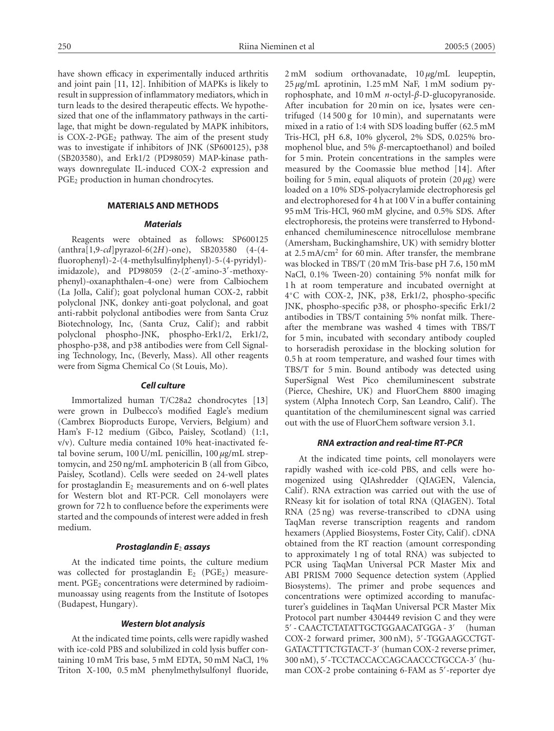have shown efficacy in experimentally induced arthritis and joint pain [\[11,](#page-6-10) [12\]](#page-6-11). Inhibition of MAPKs is likely to result in suppression of inflammatory mediators, which in turn leads to the desired therapeutic effects. We hypothesized that one of the inflammatory pathways in the cartilage, that might be down-regulated by MAPK inhibitors, is COX-2-PGE<sub>2</sub> pathway. The aim of the present study was to investigate if inhibitors of JNK (SP600125), p38 (SB203580), and Erk1/2 (PD98059) MAP-kinase pathways downregulate IL-induced COX-2 expression and PGE<sub>2</sub> production in human chondrocytes.

#### **MATERIALS AND METHODS**

#### *Materials*

Reagents were obtained as follows: SP600125 (anthra[1,9-*cd*]pyrazol-6(2*H*)-one), SB203580 (4-(4 fluorophenyl)-2-(4-methylsulfinylphenyl)-5-(4-pyridyl) imidazole), and PD98059 (2-(2 -amino-3 -methoxyphenyl)-oxanaphthalen-4-one) were from Calbiochem (La Jolla, Calif); goat polyclonal human COX-2, rabbit polyclonal JNK, donkey anti-goat polyclonal, and goat anti-rabbit polyclonal antibodies were from Santa Cruz Biotechnology, Inc, (Santa Cruz, Calif); and rabbit polyclonal phospho-JNK, phospho-Erk1/2, Erk1/2, phospho-p38, and p38 antibodies were from Cell Signaling Technology, Inc, (Beverly, Mass). All other reagents were from Sigma Chemical Co (St Louis, Mo).

## *Cell culture*

Immortalized human T/C28a2 chondrocytes [\[13](#page-6-12)] were grown in Dulbecco's modified Eagle's medium (Cambrex Bioproducts Europe, Verviers, Belgium) and Ham's F-12 medium (Gibco, Paisley, Scotland) (1:1, v/v). Culture media contained 10% heat-inactivated fetal bovine serum, 100 U/mL penicillin, 100 *µ*g/mL streptomycin, and 250 ng/mL amphotericin B (all from Gibco, Paisley, Scotland). Cells were seeded on 24-well plates for prostaglandin  $E_2$  measurements and on 6-well plates for Western blot and RT-PCR. Cell monolayers were grown for 72 h to confluence before the experiments were started and the compounds of interest were added in fresh medium.

#### *Prostaglandin E*<sup>2</sup> *assays*

At the indicated time points, the culture medium was collected for prostaglandin  $E_2$  (PGE<sub>2</sub>) measurement. PGE<sub>2</sub> concentrations were determined by radioimmunoassay using reagents from the Institute of Isotopes (Budapest, Hungary).

#### *Western blot analysis*

At the indicated time points, cells were rapidly washed with ice-cold PBS and solubilized in cold lysis buffer containing 10 mM Tris base, 5 mM EDTA, 50 mM NaCl, 1% Triton X-100, 0.5 mM phenylmethylsulfonyl fluoride,

2 mM sodium orthovanadate, 10 *µ*g/mL leupeptin, 25 *µ*g/mL aprotinin, 1.25 mM NaF, 1 mM sodium pyrophosphate, and 10 mM *n*-octyl-*β*-D-glucopyranoside. After incubation for 20 min on ice, lysates were centrifuged (14 500 g for 10 min), and supernatants were mixed in a ratio of 1:4 with SDS loading buffer (62.5 mM Tris-HCl, pH 6.8, 10% glycerol, 2% SDS, 0.025% bromophenol blue, and 5% *β*-mercaptoethanol) and boiled for 5 min. Protein concentrations in the samples were measured by the Coomassie blue method [\[14\]](#page-6-13). After boiling for 5 min, equal aliquots of protein (20 *µ*g) were loaded on a 10% SDS-polyacrylamide electrophoresis gel and electrophoresed for 4 h at 100 V in a buffer containing 95 mM Tris-HCl, 960 mM glycine, and 0.5% SDS. After electrophoresis, the proteins were transferred to Hybondenhanced chemiluminescence nitrocellulose membrane (Amersham, Buckinghamshire, UK) with semidry blotter at 2.5 mA/cm2 for 60 min. After transfer, the membrane was blocked in TBS/T (20 mM Tris-base pH 7.6, 150 mM NaCl, 0.1% Tween-20) containing 5% nonfat milk for 1 h at room temperature and incubated overnight at 4◦C with COX-2, JNK, p38, Erk1/2, phospho-specific JNK, phospho-specific p38, or phospho-specific Erk1/2 antibodies in TBS/T containing 5% nonfat milk. Thereafter the membrane was washed 4 times with TBS/T for 5 min, incubated with secondary antibody coupled to horseradish peroxidase in the blocking solution for 0.5 h at room temperature, and washed four times with TBS/T for 5 min. Bound antibody was detected using SuperSignal West Pico chemiluminescent substrate (Pierce, Cheshire, UK) and FluorChem 8800 imaging system (Alpha Innotech Corp, San Leandro, Calif). The quantitation of the chemiluminescent signal was carried out with the use of FluorChem software version 3.1.

#### *RNA extraction and real-time RT-PCR*

At the indicated time points, cell monolayers were rapidly washed with ice-cold PBS, and cells were homogenized using QIAshredder (QIAGEN, Valencia, Calif). RNA extraction was carried out with the use of RNeasy kit for isolation of total RNA (QIAGEN). Total RNA (25 ng) was reverse-transcribed to cDNA using TaqMan reverse transcription reagents and random hexamers (Applied Biosystems, Foster City, Calif). cDNA obtained from the RT reaction (amount corresponding to approximately 1 ng of total RNA) was subjected to PCR using TaqMan Universal PCR Master Mix and ABI PRISM 7000 Sequence detection system (Applied Biosystems). The primer and probe sequences and concentrations were optimized according to manufacturer's guidelines in TaqMan Universal PCR Master Mix Protocol part number 4304449 revision C and they were 5 - CAACTCTATATTGCTGGAACATGGA - 3 (human COX-2 forward primer, 300 nM), 5 -TGGAAGCCTGT-GATACTTTCTGTACT-3' (human COX-2 reverse primer, 300 nM), 5 -TCCTACCACCAGCAACCCTGCCA-3 (human COX-2 probe containing 6-FAM as 5 -reporter dye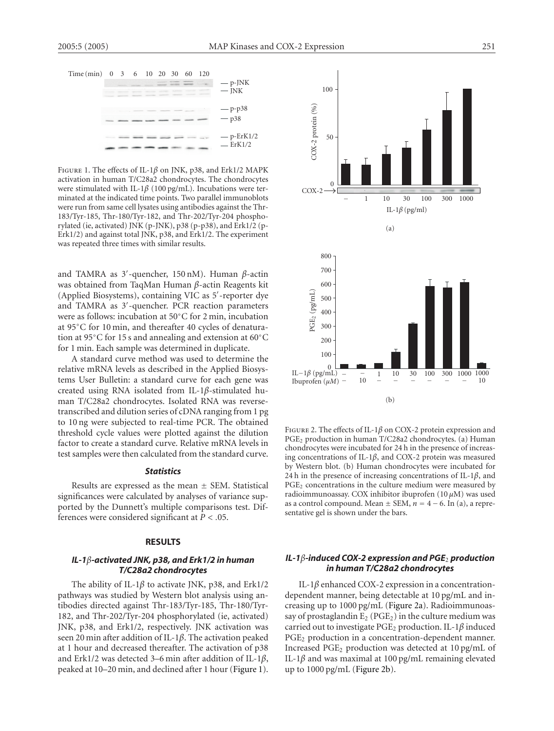| Time (min) 0 3 6 10 20 30 60 120 |  |  |  |  |           |
|----------------------------------|--|--|--|--|-----------|
|                                  |  |  |  |  | $-$ p-JNK |
|                                  |  |  |  |  | $-INK$    |
|                                  |  |  |  |  |           |

| $-p-p38$<br>$-p38$            |
|-------------------------------|
| $-p$ -ErK $1/2$<br>$-$ ErK1/2 |

<span id="page-3-0"></span>Figure 1. The effects of IL-1*β* on JNK, p38, and Erk1/2 MAPK activation in human T/C28a2 chondrocytes. The chondrocytes were stimulated with IL-1*β* (100 pg/mL). Incubations were terminated at the indicated time points. Two parallel immunoblots were run from same cell lysates using antibodies against the Thr-183/Tyr-185, Thr-180/Tyr-182, and Thr-202/Tyr-204 phosphorylated (ie, activated) JNK (p-JNK), p38 (p-p38), and Erk1/2 (p-Erk1/2) and against total JNK, p38, and Erk1/2. The experiment was repeated three times with similar results.

and TAMRA as 3 -quencher, 150 nM). Human *β*-actin was obtained from TaqMan Human *β*-actin Reagents kit (Applied Biosystems), containing VIC as 5 -reporter dye and TAMRA as 3 -quencher. PCR reaction parameters were as follows: incubation at 50◦C for 2 min, incubation at 95◦C for 10 min, and thereafter 40 cycles of denaturation at 95◦C for 15 s and annealing and extension at 60◦C for 1 min. Each sample was determined in duplicate.

A standard curve method was used to determine the relative mRNA levels as described in the Applied Biosystems User Bulletin: a standard curve for each gene was created using RNA isolated from IL-1*β*-stimulated human T/C28a2 chondrocytes. Isolated RNA was reversetranscribed and dilution series of cDNA ranging from 1 pg to 10 ng were subjected to real-time PCR. The obtained threshold cycle values were plotted against the dilution factor to create a standard curve. Relative mRNA levels in test samples were then calculated from the standard curve.

#### *Statistics*

Results are expressed as the mean  $\pm$  SEM. Statistical significances were calculated by analyses of variance supported by the Dunnett's multiple comparisons test. Differences were considered significant at *P<.*05.

#### **RESULTS**

# *IL-1β-activated JNK, p38, and Erk1/2 in human T/C28a2 chondrocytes*

The ability of IL-1*β* to activate JNK, p38, and Erk1/2 pathways was studied by Western blot analysis using antibodies directed against Thr-183/Tyr-185, Thr-180/Tyr-182, and Thr-202/Tyr-204 phosphorylated (ie, activated) JNK, p38, and Erk1/2, respectively. JNK activation was seen 20 min after addition of IL-1*β*. The activation peaked at 1 hour and decreased thereafter. The activation of p38 and Erk1/2 was detected 3–6 min after addition of IL-1*β*, peaked at 10–20 min, and declined after 1 hour [\(Figure 1\)](#page-3-0).

<span id="page-3-1"></span>

<span id="page-3-2"></span>

Figure 2. The effects of IL-1*β* on COX-2 protein expression and PGE2 production in human T/C28a2 chondrocytes. (a) Human chondrocytes were incubated for 24 h in the presence of increasing concentrations of IL-1*β*, and COX-2 protein was measured by Western blot. (b) Human chondrocytes were incubated for 24 h in the presence of increasing concentrations of IL-1*β*, and PGE<sub>2</sub> concentrations in the culture medium were measured by radioimmunoassay. COX inhibitor ibuprofen (10 *µ*M) was used as a control compound. Mean  $\pm$  SEM,  $n = 4 - 6$ . In (a), a representative gel is shown under the bars.

# *IL-1β-induced COX-2 expression and PGE*<sup>2</sup> *production in human T/C28a2 chondrocytes*

IL-1*β* enhanced COX-2 expression in a concentrationdependent manner, being detectable at 10 pg/mL and increasing up to 1000 pg/mL [\(Figure 2a\)](#page-3-1). Radioimmunoassay of prostaglandin  $E_2$  (PGE<sub>2</sub>) in the culture medium was carried out to investigate PGE2 production. IL-1*β* induced PGE<sub>2</sub> production in a concentration-dependent manner. Increased  $PGE_2$  production was detected at  $10 \text{ pg/mL}$  of IL-1*β* and was maximal at 100 pg/mL remaining elevated up to 1000 pg/mL [\(Figure 2b\)](#page-3-2).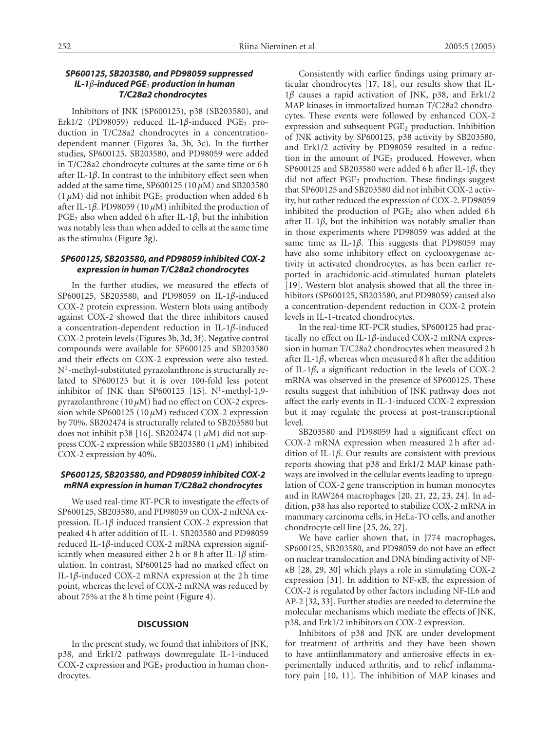# *SP600125, SB203580, and PD98059 suppressed IL-1β-induced PGE*<sup>2</sup> *production in human T/C28a2 chondrocytes*

Inhibitors of JNK (SP600125), p38 (SB203580), and Erk1/2 (PD98059) reduced IL-1β-induced PGE<sub>2</sub> production in T/C28a2 chondrocytes in a concentrationdependent manner (Figures [3a](#page-5-0), [3b](#page-5-0), [3c](#page-5-0)). In the further studies, SP600125, SB203580, and PD98059 were added in T/C28a2 chondrocyte cultures at the same time or 6 h after IL-1*β*. In contrast to the inhibitory effect seen when added at the same time, SP600125 (10 *µ*M) and SB203580  $(1 \mu M)$  did not inhibit PGE<sub>2</sub> production when added 6 h after IL-1*β*. PD98059 (10 *µ*M) inhibited the production of PGE<sub>2</sub> also when added 6 h after IL-1 $\beta$ , but the inhibition was notably less than when added to cells at the same time as the stimulus [\(Figure 3g\)](#page-5-1).

# *SP600125, SB203580, and PD98059 inhibited COX-2 expression in human T/C28a2 chondrocytes*

In the further studies, we measured the effects of SP600125, SB203580, and PD98059 on IL-1*β*-induced COX-2 protein expression. Western blots using antibody against COX-2 showed that the three inhibitors caused a concentration-dependent reduction in IL-1*β*-induced COX-2 protein levels (Figures [3b](#page-5-0), [3d,](#page-5-2) [3f\)](#page-5-3). Negative control compounds were available for SP600125 and SB203580 and their effects on COX-2 expression were also tested. N1-methyl-substituted pyrazolanthrone is structurally related to SP600125 but it is over 100-fold less potent inhibitor of JNK than SP600125 [\[15](#page-6-14)]. N<sup>1</sup>-methyl-1,9pyrazolanthrone (10 *µ*M) had no effect on COX-2 expression while SP600125 (10 *µ*M) reduced COX-2 expression by 70%. SB202474 is structurally related to SB203580 but does not inhibit p38 [\[16\]](#page-6-15). SB202474 (1 *µ*M) did not suppress COX-2 expression while SB203580 (1 *µ*M) inhibited COX-2 expression by 40%.

## *SP600125, SB203580, and PD98059 inhibited COX-2 mRNA expression in human T/C28a2 chondrocytes*

We used real-time RT-PCR to investigate the effects of SP600125, SB203580, and PD98059 on COX-2 mRNA expression. IL-1*β* induced transient COX-2 expression that peaked 4 h after addition of IL-1. SB203580 and PD98059 reduced IL-1*β*-induced COX-2 mRNA expression significantly when measured either 2 h or 8 h after IL-1*β* stimulation. In contrast, SP600125 had no marked effect on IL-1*β*-induced COX-2 mRNA expression at the 2 h time point, whereas the level of COX-2 mRNA was reduced by about 75% at the 8 h time point [\(Figure 4\)](#page-6-16).

#### **DISCUSSION**

In the present study, we found that inhibitors of JNK, p38, and Erk1/2 pathways downregulate IL-1-induced COX-2 expression and PGE<sub>2</sub> production in human chondrocytes.

Consistently with earlier findings using primary articular chondrocytes [\[17](#page-6-17), [18](#page-7-0)], our results show that IL-1*β* causes a rapid activation of JNK, p38, and Erk1/2 MAP kinases in immortalized human T/C28a2 chondrocytes. These events were followed by enhanced COX-2 expression and subsequent PGE<sub>2</sub> production. Inhibition of JNK activity by SP600125, p38 activity by SB203580, and Erk1/2 activity by PD98059 resulted in a reduction in the amount of PGE<sub>2</sub> produced. However, when SP600125 and SB203580 were added 6 h after IL-1*β*, they did not affect  $PGE_2$  production. These findings suggest that SP600125 and SB203580 did not inhibit COX-2 activity, but rather reduced the expression of COX-2. PD98059 inhibited the production of  $PGE_2$  also when added 6 h after IL-1 $\beta$ , but the inhibition was notably smaller than in those experiments where PD98059 was added at the same time as IL-1*β*. This suggests that PD98059 may have also some inhibitory effect on cyclooxygenase activity in activated chondrocytes, as has been earlier reported in arachidonic-acid-stimulated human platelets [\[19\]](#page-7-1). Western blot analysis showed that all the three inhibitors (SP600125, SB203580, and PD98059) caused also a concentration-dependent reduction in COX-2 protein levels in IL-1-treated chondrocytes.

In the real-time RT-PCR studies, SP600125 had practically no effect on IL-1*β*-induced COX-2 mRNA expression in human T/C28a2 chondrocytes when measured 2 h after IL-1*β*, whereas when measured 8 h after the addition of IL-1*β*, a significant reduction in the levels of COX-2 mRNA was observed in the presence of SP600125. These results suggest that inhibition of JNK pathway does not affect the early events in IL-1-induced COX-2 expression but it may regulate the process at post-transcriptional level.

SB203580 and PD98059 had a significant effect on COX-2 mRNA expression when measured 2 h after addition of IL-1*β*. Our results are consistent with previous reports showing that p38 and Erk1/2 MAP kinase pathways are involved in the cellular events leading to upregulation of COX-2 gene transcription in human monocytes and in RAW264 macrophages [\[20](#page-7-2), [21,](#page-7-3) [22,](#page-7-4) [23](#page-7-5), [24](#page-7-6)]. In addition, p38 has also reported to stabilize COX-2 mRNA in mammary carcinoma cells, in HeLa-TO cells, and another chondrocyte cell line [\[25,](#page-7-7) [26](#page-7-8), [27](#page-7-9)].

We have earlier shown that, in J774 macrophages, SP600125, SB203580, and PD98059 do not have an effect on nuclear translocation and DNA binding activity of NF*κ*B [\[28,](#page-7-10) [29,](#page-7-11) [30\]](#page-7-12) which plays a role in stimulating COX-2 expression [\[31](#page-7-13)]. In addition to NF-*κ*B, the expression of COX-2 is regulated by other factors including NF-IL6 and AP-2 [\[32,](#page-7-14) [33\]](#page-7-15). Further studies are needed to determine the molecular mechanisms which mediate the effects of JNK, p38, and Erk1/2 inhibitors on COX-2 expression.

Inhibitors of p38 and JNK are under development for treatment of arthritis and they have been shown to have antiinflammatory and antierosive effects in experimentally induced arthritis, and to relief inflammatory pain [\[10,](#page-6-9) [11\]](#page-6-10). The inhibition of MAP kinases and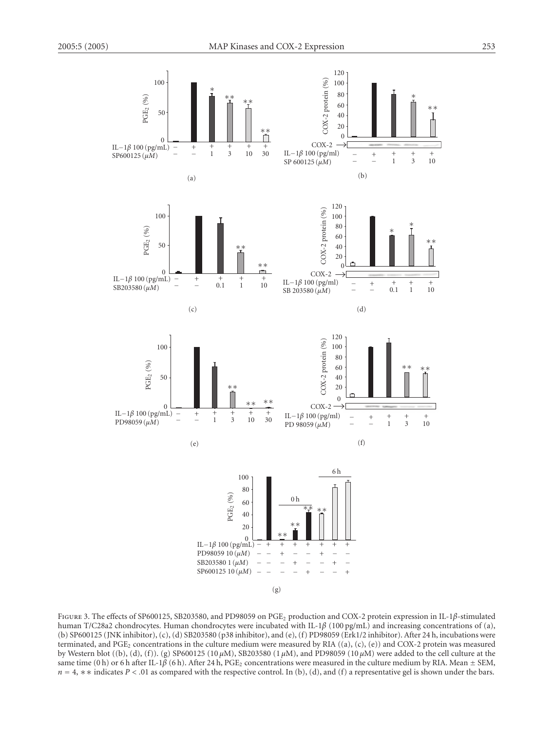<span id="page-5-3"></span><span id="page-5-2"></span>

<span id="page-5-1"></span><span id="page-5-0"></span>Figure 3. The effects of SP600125, SB203580, and PD98059 on PGE2 production and COX-2 protein expression in IL-1*β*-stimulated human T/C28a2 chondrocytes. Human chondrocytes were incubated with IL-1*β* (100 pg/mL) and increasing concentrations of (a), (b) SP600125 (JNK inhibitor), (c), (d) SB203580 (p38 inhibitor), and (e), (f) PD98059 (Erk1/2 inhibitor). After 24 h, incubations were terminated, and PGE<sub>2</sub> concentrations in the culture medium were measured by RIA  $((a), (c), (e))$  and COX-2 protein was measured by Western blot ((b), (d), (f)). (g) SP600125 (10 *µ*M), SB203580 (1 *µ*M), and PD98059 (10 *µ*M) were added to the cell culture at the same time (0 h) or 6 h after IL-1 $\beta$  (6 h). After 24 h, PGE<sub>2</sub> concentrations were measured in the culture medium by RIA. Mean  $\pm$  SEM, *n* = 4,  $\ast \ast$  indicates *P* < .01 as compared with the respective control. In (b), (d), and (f) a representative gel is shown under the bars.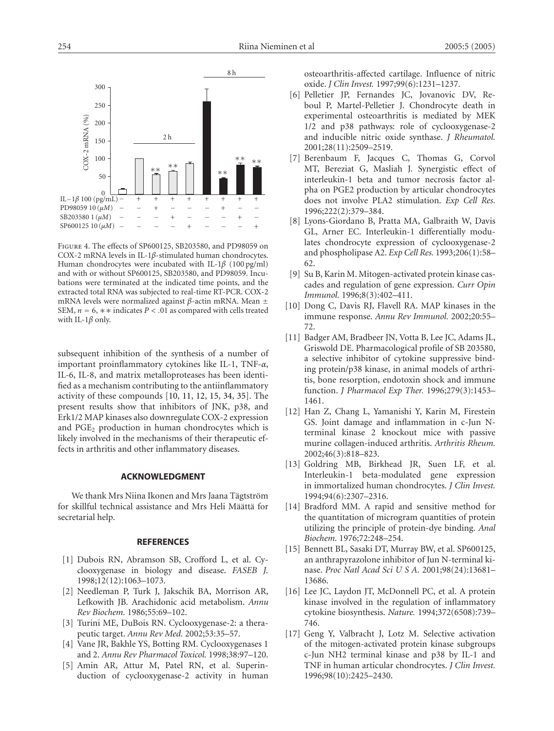

<span id="page-6-16"></span>Figure 4. The effects of SP600125, SB203580, and PD98059 on COX-2 mRNA levels in IL-1*β*-stimulated human chondrocytes. Human chondrocytes were incubated with IL-1*β* (100 pg/ml) and with or without SP600125, SB203580, and PD98059. Incubations were terminated at the indicated time points, and the extracted total RNA was subjected to real-time RT-PCR. COX-2 mRNA levels were normalized against *<sup>β</sup>*-actin mRNA. Mean <sup>±</sup> SEM, *<sup>n</sup>* <sup>=</sup> 6, ∗∗ indicates *P<.*01 as compared with cells treated with IL-1*β* only.

subsequent inhibition of the synthesis of a number of important proinflammatory cytokines like IL-1, TNF-*α*, IL-6, IL-8, and matrix metalloproteases has been identified as a mechanism contributing to the antiinflammatory activity of these compounds [\[10](#page-6-9), [11](#page-6-10), [12,](#page-6-11) [15,](#page-6-14) [34,](#page-7-16) [35](#page-7-17)]. The present results show that inhibitors of JNK, p38, and Erk1/2 MAP kinases also downregulate COX-2 expression and  $PGE_2$  production in human chondrocytes which is likely involved in the mechanisms of their therapeutic effects in arthritis and other inflammatory diseases.

#### **ACKNOWLEDGMENT**

We thank Mrs Niina Ikonen and Mrs Jaana Tägtström for skillful technical assistance and Mrs Heli Määttä for secretarial help.

#### **REFERENCES**

- <span id="page-6-0"></span>[1] Dubois RN, Abramson SB, Crofford L, et al. Cyclooxygenase in biology and disease. *FASEB J.* 1998;12(12):1063–1073.
- <span id="page-6-1"></span>[2] Needleman P, Turk J, Jakschik BA, Morrison AR, Lefkowith JB. Arachidonic acid metabolism. *Annu Rev Biochem.* 1986;55:69–102.
- <span id="page-6-2"></span>[3] Turini ME, DuBois RN. Cyclooxygenase-2: a therapeutic target. *Annu Rev Med.* 2002;53:35–57.
- <span id="page-6-3"></span>[4] Vane JR, Bakhle YS, Botting RM. Cyclooxygenases 1 and 2. *Annu Rev Pharmacol Toxicol.* 1998;38:97–120.
- <span id="page-6-4"></span>[5] Amin AR, Attur M, Patel RN, et al. Superinduction of cyclooxygenase-2 activity in human

osteoarthritis-affected cartilage. Influence of nitric oxide. *J Clin Invest.* 1997;99(6):1231–1237.

- <span id="page-6-5"></span>[6] Pelletier JP, Fernandes JC, Jovanovic DV, Reboul P, Martel-Pelletier J. Chondrocyte death in experimental osteoarthritis is mediated by MEK 1/2 and p38 pathways: role of cyclooxygenase-2 and inducible nitric oxide synthase. *J Rheumatol.* 2001;28(11):2509–2519.
- <span id="page-6-6"></span>[7] Berenbaum F, Jacques C, Thomas G, Corvol MT, Bereziat G, Masliah J. Synergistic effect of interleukin-1 beta and tumor necrosis factor alpha on PGE2 production by articular chondrocytes does not involve PLA2 stimulation. *Exp Cell Res.* 1996;222(2):379–384.
- <span id="page-6-7"></span>[8] Lyons-Giordano B, Pratta MA, Galbraith W, Davis GL, Arner EC. Interleukin-1 differentially modulates chondrocyte expression of cyclooxygenase-2 and phospholipase A2. *Exp Cell Res.* 1993;206(1):58– 62.
- <span id="page-6-8"></span>[9] Su B, Karin M. Mitogen-activated protein kinase cascades and regulation of gene expression. *Curr Opin Immunol.* 1996;8(3):402–411.
- <span id="page-6-9"></span>[10] Dong C, Davis RJ, Flavell RA. MAP kinases in the immune response. *Annu Rev Immunol.* 2002;20:55– 72.
- <span id="page-6-10"></span>[11] Badger AM, Bradbeer JN, Votta B, Lee JC, Adams JL, Griswold DE. Pharmacological profile of SB 203580, a selective inhibitor of cytokine suppressive binding protein/p38 kinase, in animal models of arthritis, bone resorption, endotoxin shock and immune function. *J Pharmacol Exp Ther.* 1996;279(3):1453– 1461.
- <span id="page-6-11"></span>[12] Han Z, Chang L, Yamanishi Y, Karin M, Firestein GS. Joint damage and inflammation in c-Jun Nterminal kinase 2 knockout mice with passive murine collagen-induced arthritis. *Arthritis Rheum.* 2002;46(3):818–823.
- <span id="page-6-12"></span>[13] Goldring MB, Birkhead JR, Suen LF, et al. Interleukin-1 beta-modulated gene expression in immortalized human chondrocytes. *J Clin Invest.* 1994;94(6):2307–2316.
- <span id="page-6-13"></span>[14] Bradford MM. A rapid and sensitive method for the quantitation of microgram quantities of protein utilizing the principle of protein-dye binding. *Anal Biochem.* 1976;72:248–254.
- <span id="page-6-14"></span>[15] Bennett BL, Sasaki DT, Murray BW, et al. SP600125, an anthrapyrazolone inhibitor of Jun N-terminal kinase. *Proc Natl Acad Sci U S A.* 2001;98(24):13681– 13686.
- <span id="page-6-15"></span>[16] Lee JC, Laydon JT, McDonnell PC, et al. A protein kinase involved in the regulation of inflammatory cytokine biosynthesis. *Nature.* 1994;372(6508):739– 746.
- <span id="page-6-17"></span>[17] Geng Y, Valbracht J, Lotz M. Selective activation of the mitogen-activated protein kinase subgroups c-Jun NH2 terminal kinase and p38 by IL-1 and TNF in human articular chondrocytes. *J Clin Invest.* 1996;98(10):2425–2430.